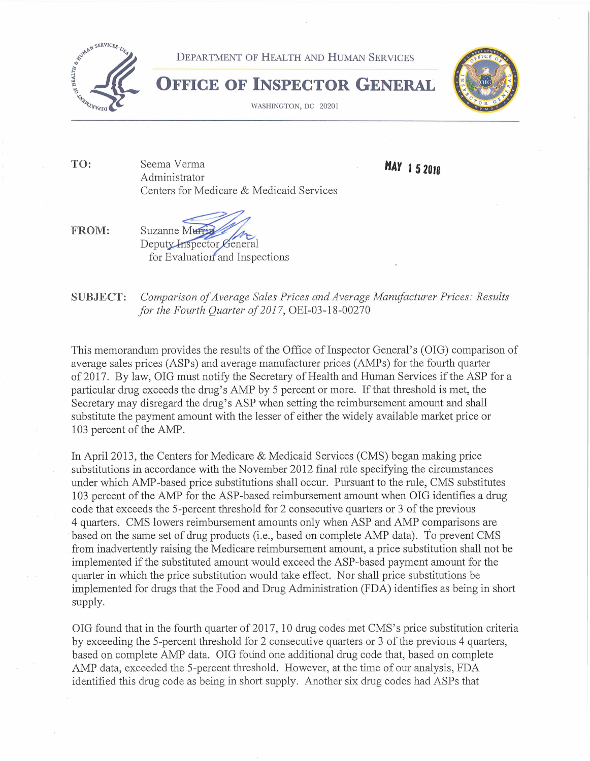

**TO:**  Seema Verma Administrator Centers for Medicare & Medicaid Services **HAY 1 5 <sup>2018</sup>**

**FROM:** 

Suzanne Murrin Deputy Inspector General for Evaluation and Inspections

**SUBJECT:** *Comparison of Average Sales Prices and Average Manufacturer Prices: Results for the Fourth Quarter of 2017,* OEI-03-18-00270

This memorandum provides the results of the Office of Inspector General's (OIG) comparison of average sales prices (ASPs) and average manufacturer prices (AMPs) for the fourth quarter of 2017. By law, OIG must notify the Secretary of Health and Human Services if the ASP for a particular drug exceeds the drug's AMP by 5 percent or more. If that threshold is met, the Secretary may disregard the drug's ASP when setting the reimbursement amount and shall substitute the payment amount with the lesser of either the widely available market price or 103 percent of the AMP.

In April 2013, the Centers for Medicare & Medicaid Services (CMS) began making price substitutions in accordance with the November 2012 final rule specifying the circumstances under which AMP-based price substitutions shall occur. Pursuant to the rule, CMS substitutes 103 percent of the AMP for the ASP-based reimbursement amount when OIG identifies a drug code that exceeds the 5-percent threshold for 2 consecutive quarters or 3 of the previous 4 quarters. CMS lowers reimbursement amounts only when ASP and AMP comparisons are based on the same set of drug products (i.e., based on complete AMP data). To prevent CMS from inadvertently raising the Medicare reimbursement amount, a price substitution shall not be implemented if the substituted amount would exceed the ASP-based payment amount for the quarter in which the price substitution would take effect. Nor shall price substitutions be implemented for drugs that the Food and Drug Administration (FDA) identifies as being in short supply.

OIG found that in the fourth quarter of 2017, 10 drug codes met CMS's price substitution criteria by exceeding the 5-percent threshold for 2 consecutive quarters or 3 of the previous 4 quarters, based on complete AMP data. OIG found one additional drug code that, based on complete AMP data, exceeded the 5-percent threshold. However, at the time of our analysis, FDA identified this drug code as being in short supply. Another six drug codes had ASPs that